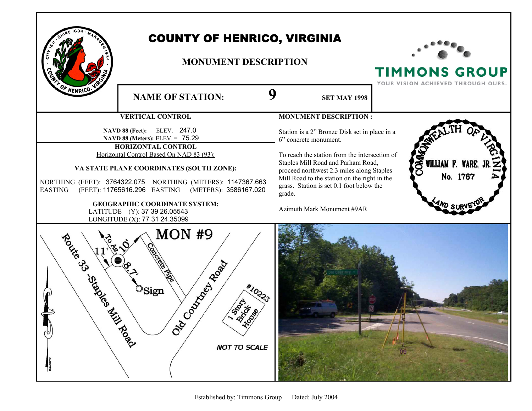

## COUNTY OF HENRICO, VIRGINIA

## **MONUMENT DESCRIPTION**



**TIMMONS GROUP** 

|                                                                                                                                     | YOUR VISION ACHIEVED THROUGH OURS.                                                                                                                                           |
|-------------------------------------------------------------------------------------------------------------------------------------|------------------------------------------------------------------------------------------------------------------------------------------------------------------------------|
| OF HENRICO. VI<br>9<br><b>NAME OF STATION:</b>                                                                                      | <b>SET MAY 1998</b>                                                                                                                                                          |
| <b>VERTICAL CONTROL</b>                                                                                                             | <b>MONUMENT DESCRIPTION:</b>                                                                                                                                                 |
| $ELEV = 247.0$<br>NAVD 88 (Feet):<br>NAVD 88 (Meters): ELEV. = 75.29                                                                | Station is a 2" Bronze Disk set in place in a<br>6" concrete monument.                                                                                                       |
| HORIZONTAL CONTROL<br>Horizontal Control Based On NAD 83 (93):                                                                      | To reach the station from the intersection of                                                                                                                                |
| VA STATE PLANE COORDINATES (SOUTH ZONE):                                                                                            | OMION<br>WILLIAM F. WARE, JR.<br>Staples Mill Road and Parham Road,<br>proceed northwest 2.3 miles along Staples<br>No. 1767<br>Mill Road to the station on the right in the |
| NORTHING (FEET): 3764322.075 NORTHING (METERS): 1147367.663<br>(FEET): 11765616.296 EASTING (METERS): 3586167.020<br><b>EASTING</b> | grass. Station is set 0.1 foot below the<br>grade.                                                                                                                           |
| <b>GEOGRAPHIC COORDINATE SYSTEM:</b><br>LATITUDE (Y): 37 39 26.05543<br>LONGITUDE (X): 77 31 24.35099                               | <b>AND SURV</b><br>Azimuth Mark Monument #9AR                                                                                                                                |
| <b>MON #9</b><br>Road Croint Million<br>Ozoczkiech zeglą<br>*10223<br>$\circ$ Sign<br>1250-14-00<br><b>NOT TO SCALE</b>             |                                                                                                                                                                              |